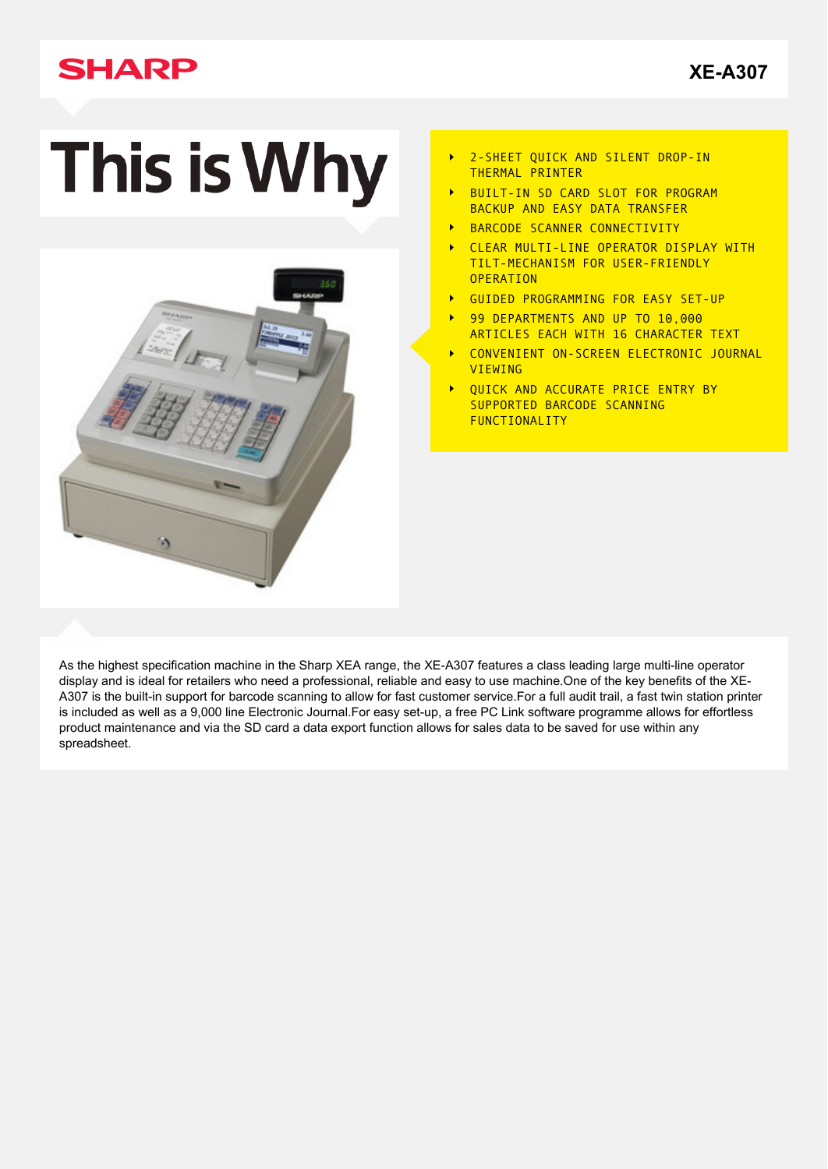# **SHARP**

**[XE-A307](http://www.sharp.co.uk/cps/rde/xchg/gb/hs.xsl/-/html/product-details.htm?product=XEA307&cat=350)**

# **This is Why**



- 2-SHEET QUICK AND SILENT DROP-IN  $\blacktriangleright$ THERMAL PRINTER
- BUILT-IN SD CARD SLOT FOR PROGRAM BACKUP AND EASY DATA TRANSFER
- BARCODE SCANNER CONNECTIVITY  $\overline{\phantom{a}}$
- CLEAR MULTI-LINE OPERATOR DISPLAY WITH  $\ddot{\phantom{1}}$ TILT-MECHANISM FOR USER-FRIENDLY **OPERATION**
- GUIDED PROGRAMMING FOR EASY SET-UP  $\overline{\phantom{a}}$
- 99 DEPARTMENTS AND UP TO 10,000  $\ddot{\phantom{1}}$ ARTICLES EACH WITH 16 CHARACTER TEXT
- CONVENIENT ON-SCREEN ELECTRONIC JOURNAL  $\ddot{\phantom{1}}$ VIEWING
- QUICK AND ACCURATE PRICE ENTRY BY  $\mathbf{r}$ SUPPORTED BARCODE SCANNING FUNCTIONALITY

As the highest specification machine in the Sharp XEA range, the XE-A307 features a class leading large multi-line operator display and is ideal for retailers who need a professional, reliable and easy to use machine.One of the key benefits of the XE-A307 is the built-in support for barcode scanning to allow for fast customer service.For a full audit trail, a fast twin station printer is included as well as a 9,000 line Electronic Journal.For easy set-up, a free PC Link software programme allows for effortless product maintenance and via the SD card a data export function allows for sales data to be saved for use within any spreadsheet.